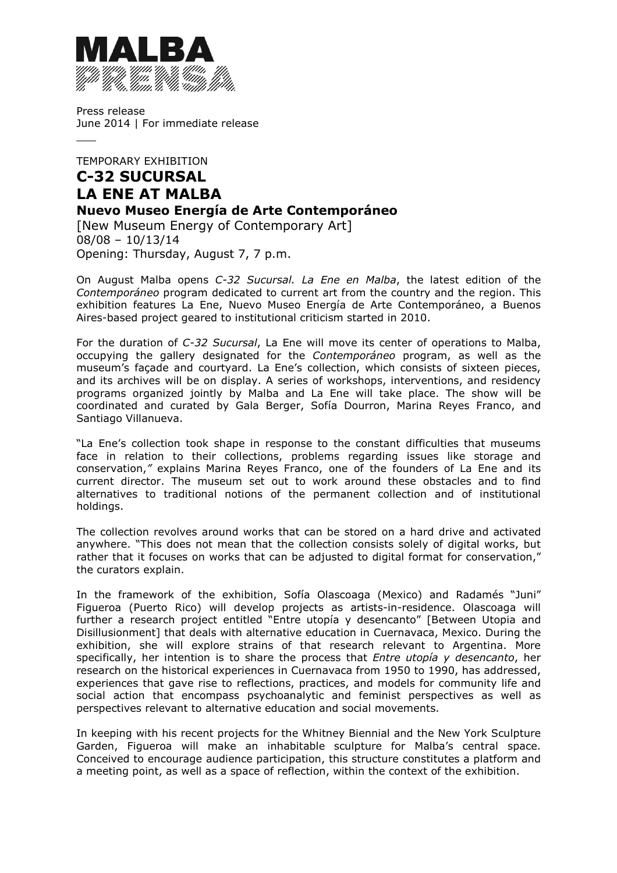

 $\overline{\phantom{a}}$ 

Press release June 2014 | For immediate release

# TEMPORARY EXHIBITION **C-32 SUCURSAL LA ENE AT MALBA Nuevo Museo Energía de Arte Contemporáneo**

[New Museum Energy of Contemporary Art] 08/08 – 10/13/14 Opening: Thursday, August 7, 7 p.m.

On August Malba opens *C-32 Sucursal. La Ene en Malba*, the latest edition of the *Contemporáneo* program dedicated to current art from the country and the region. This exhibition features La Ene, Nuevo Museo Energía de Arte Contemporáneo, a Buenos Aires-based project geared to institutional criticism started in 2010.

For the duration of *C-32 Sucursal*, La Ene will move its center of operations to Malba, occupying the gallery designated for the *Contemporáneo* program, as well as the museum's façade and courtyard. La Ene's collection, which consists of sixteen pieces, and its archives will be on display. A series of workshops, interventions, and residency programs organized jointly by Malba and La Ene will take place. The show will be coordinated and curated by Gala Berger, Sofía Dourron, Marina Reyes Franco, and Santiago Villanueva.

"La Ene's collection took shape in response to the constant difficulties that museums face in relation to their collections, problems regarding issues like storage and conservation,*"* explains Marina Reyes Franco, one of the founders of La Ene and its current director. The museum set out to work around these obstacles and to find alternatives to traditional notions of the permanent collection and of institutional holdings.

The collection revolves around works that can be stored on a hard drive and activated anywhere. "This does not mean that the collection consists solely of digital works, but rather that it focuses on works that can be adjusted to digital format for conservation," the curators explain.

In the framework of the exhibition, Sofía Olascoaga (Mexico) and Radamés "Juni" Figueroa (Puerto Rico) will develop projects as artists-in-residence. Olascoaga will further a research project entitled "Entre utopía y desencanto" [Between Utopia and Disillusionment] that deals with alternative education in Cuernavaca, Mexico. During the exhibition, she will explore strains of that research relevant to Argentina. More specifically, her intention is to share the process that *Entre utopía y desencanto*, her research on the historical experiences in Cuernavaca from 1950 to 1990, has addressed, experiences that gave rise to reflections, practices, and models for community life and social action that encompass psychoanalytic and feminist perspectives as well as perspectives relevant to alternative education and social movements.

In keeping with his recent projects for the Whitney Biennial and the New York Sculpture Garden, Figueroa will make an inhabitable sculpture for Malba's central space. Conceived to encourage audience participation, this structure constitutes a platform and a meeting point, as well as a space of reflection, within the context of the exhibition.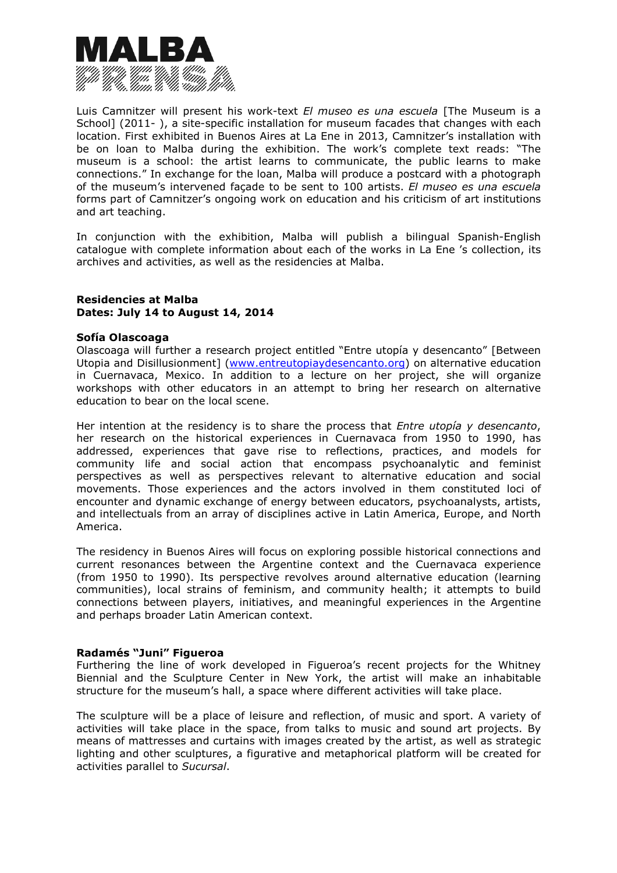

Luis Camnitzer will present his work-text *El museo es una escuela* [The Museum is a School] (2011-), a site-specific installation for museum facades that changes with each location. First exhibited in Buenos Aires at La Ene in 2013, Camnitzer's installation with be on loan to Malba during the exhibition. The work's complete text reads: "The museum is a school: the artist learns to communicate, the public learns to make connections." In exchange for the loan, Malba will produce a postcard with a photograph of the museum's intervened façade to be sent to 100 artists. *El museo es una escuela*  forms part of Camnitzer's ongoing work on education and his criticism of art institutions and art teaching.

In conjunction with the exhibition, Malba will publish a bilingual Spanish-English catalogue with complete information about each of the works in La Ene 's collection, its archives and activities, as well as the residencies at Malba.

# **Residencies at Malba Dates: July 14 to August 14, 2014**

#### **Sofía Olascoaga**

Olascoaga will further a research project entitled "Entre utopía y desencanto" [Between Utopia and Disillusionment] (www.entreutopiaydesencanto.org) on alternative education in Cuernavaca, Mexico. In addition to a lecture on her project, she will organize workshops with other educators in an attempt to bring her research on alternative education to bear on the local scene.

Her intention at the residency is to share the process that *Entre utopía y desencanto*, her research on the historical experiences in Cuernavaca from 1950 to 1990, has addressed, experiences that gave rise to reflections, practices, and models for community life and social action that encompass psychoanalytic and feminist perspectives as well as perspectives relevant to alternative education and social movements. Those experiences and the actors involved in them constituted loci of encounter and dynamic exchange of energy between educators, psychoanalysts, artists, and intellectuals from an array of disciplines active in Latin America, Europe, and North America.

The residency in Buenos Aires will focus on exploring possible historical connections and current resonances between the Argentine context and the Cuernavaca experience (from 1950 to 1990). Its perspective revolves around alternative education (learning communities), local strains of feminism, and community health; it attempts to build connections between players, initiatives, and meaningful experiences in the Argentine and perhaps broader Latin American context.

## **Radamés "Juni" Figueroa**

Furthering the line of work developed in Figueroa's recent projects for the Whitney Biennial and the Sculpture Center in New York, the artist will make an inhabitable structure for the museum's hall, a space where different activities will take place.

The sculpture will be a place of leisure and reflection, of music and sport. A variety of activities will take place in the space, from talks to music and sound art projects. By means of mattresses and curtains with images created by the artist, as well as strategic lighting and other sculptures, a figurative and metaphorical platform will be created for activities parallel to *Sucursal*.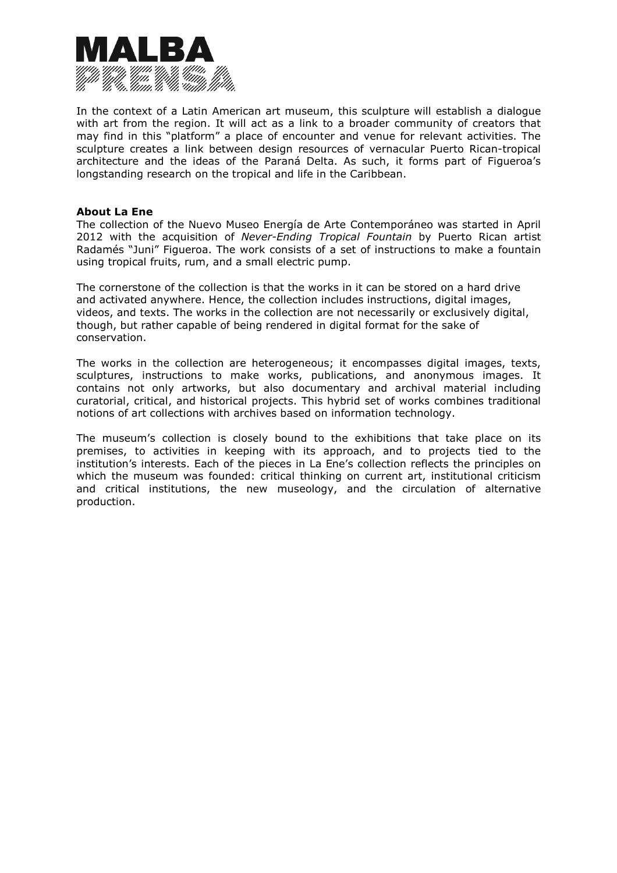

In the context of a Latin American art museum, this sculpture will establish a dialogue with art from the region. It will act as a link to a broader community of creators that may find in this "platform" a place of encounter and venue for relevant activities. The sculpture creates a link between design resources of vernacular Puerto Rican-tropical architecture and the ideas of the Paraná Delta. As such, it forms part of Figueroa's longstanding research on the tropical and life in the Caribbean.

#### **About La Ene**

The collection of the Nuevo Museo Energía de Arte Contemporáneo was started in April 2012 with the acquisition of *Never-Ending Tropical Fountain* by Puerto Rican artist Radamés "Juni" Figueroa. The work consists of a set of instructions to make a fountain using tropical fruits, rum, and a small electric pump.

The cornerstone of the collection is that the works in it can be stored on a hard drive and activated anywhere. Hence, the collection includes instructions, digital images, videos, and texts. The works in the collection are not necessarily or exclusively digital, though, but rather capable of being rendered in digital format for the sake of conservation.

The works in the collection are heterogeneous; it encompasses digital images, texts, sculptures, instructions to make works, publications, and anonymous images. It contains not only artworks, but also documentary and archival material including curatorial, critical, and historical projects. This hybrid set of works combines traditional notions of art collections with archives based on information technology.

The museum's collection is closely bound to the exhibitions that take place on its premises, to activities in keeping with its approach, and to projects tied to the institution's interests. Each of the pieces in La Ene's collection reflects the principles on which the museum was founded: critical thinking on current art, institutional criticism and critical institutions, the new museology, and the circulation of alternative production.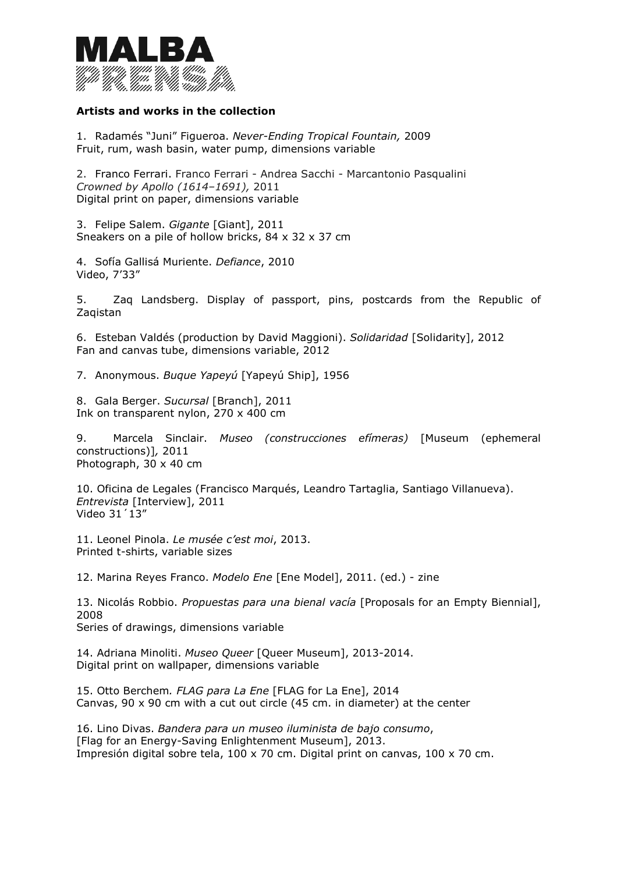

# **Artists and works in the collection**

1. Radamés "Juni" Figueroa. *Never-Ending Tropical Fountain,* 2009 Fruit, rum, wash basin, water pump, dimensions variable

2. Franco Ferrari. Franco Ferrari - Andrea Sacchi - Marcantonio Pasqualini *Crowned by Apollo (1614–1691),* 2011 Digital print on paper, dimensions variable

3. Felipe Salem. *Gigante* [Giant], 2011 Sneakers on a pile of hollow bricks, 84 x 32 x 37 cm

4. Sofía Gallisá Muriente. *Defiance*, 2010 Video, 7'33"

5. Zaq Landsberg. Display of passport, pins, postcards from the Republic of Zaqistan

6. Esteban Valdés (production by David Maggioni). *Solidaridad* [Solidarity], 2012 Fan and canvas tube, dimensions variable, 2012

7. Anonymous. *Buque Yapeyú* [Yapeyú Ship], 1956

8. Gala Berger. *Sucursal* [Branch], 2011 Ink on transparent nylon, 270 x 400 cm

9. Marcela Sinclair. *Museo (construcciones efímeras)* [Museum (ephemeral constructions)]*,* 2011 Photograph, 30 x 40 cm

10. Oficina de Legales (Francisco Marqués, Leandro Tartaglia, Santiago Villanueva). *Entrevista* [Interview], 2011 Video 31´13"

11. Leonel Pinola. *Le musée c'est moi*, 2013. Printed t-shirts, variable sizes

12. Marina Reyes Franco. *Modelo Ene* [Ene Model], 2011. (ed.) - zine

13. Nicolás Robbio. *Propuestas para una bienal vacía* [Proposals for an Empty Biennial], 2008 Series of drawings, dimensions variable

14. Adriana Minoliti. *Museo Queer* [Queer Museum], 2013-2014. Digital print on wallpaper, dimensions variable

15. Otto Berchem*. FLAG para La Ene* [FLAG for La Ene], 2014 Canvas, 90 x 90 cm with a cut out circle (45 cm. in diameter) at the center

16. Lino Divas. *Bandera para un museo iluminista de bajo consumo*, [Flag for an Energy-Saving Enlightenment Museum], 2013. Impresión digital sobre tela, 100 x 70 cm. Digital print on canvas, 100 x 70 cm.